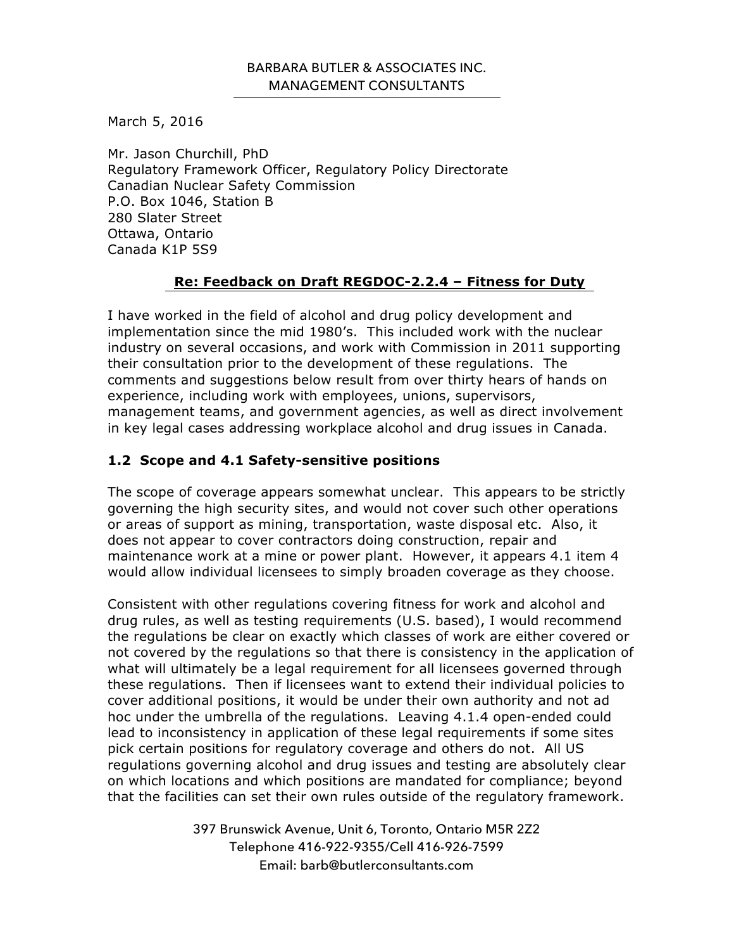## BARBARA BUTLER & ASSOCIATES INC. MANAGEMENT CONSULTANTS

March 5, 2016

Mr. Jason Churchill, PhD Regulatory Framework Officer, Regulatory Policy Directorate Canadian Nuclear Safety Commission P.O. Box 1046, Station B 280 Slater Street Ottawa, Ontario Canada K1P 5S9

## **Re: Feedback on Draft REGDOC-2.2.4 – Fitness for Duty**

I have worked in the field of alcohol and drug policy development and implementation since the mid 1980's. This included work with the nuclear industry on several occasions, and work with Commission in 2011 supporting their consultation prior to the development of these regulations. The comments and suggestions below result from over thirty hears of hands on experience, including work with employees, unions, supervisors, management teams, and government agencies, as well as direct involvement in key legal cases addressing workplace alcohol and drug issues in Canada.

## **1.2 Scope and 4.1 Safety-sensitive positions**

The scope of coverage appears somewhat unclear. This appears to be strictly governing the high security sites, and would not cover such other operations or areas of support as mining, transportation, waste disposal etc. Also, it does not appear to cover contractors doing construction, repair and maintenance work at a mine or power plant. However, it appears 4.1 item 4 would allow individual licensees to simply broaden coverage as they choose.

Consistent with other regulations covering fitness for work and alcohol and drug rules, as well as testing requirements (U.S. based), I would recommend the regulations be clear on exactly which classes of work are either covered or not covered by the regulations so that there is consistency in the application of what will ultimately be a legal requirement for all licensees governed through these regulations. Then if licensees want to extend their individual policies to cover additional positions, it would be under their own authority and not ad hoc under the umbrella of the regulations. Leaving 4.1.4 open-ended could lead to inconsistency in application of these legal requirements if some sites pick certain positions for regulatory coverage and others do not. All US regulations governing alcohol and drug issues and testing are absolutely clear on which locations and which positions are mandated for compliance; beyond that the facilities can set their own rules outside of the regulatory framework.

> 397 Brunswick Avenue, Unit 6, Toronto, Ontario M5R 2Z2 Telephone 416-922-9355/Cell 416-926-7599 Email: barb@butlerconsultants.com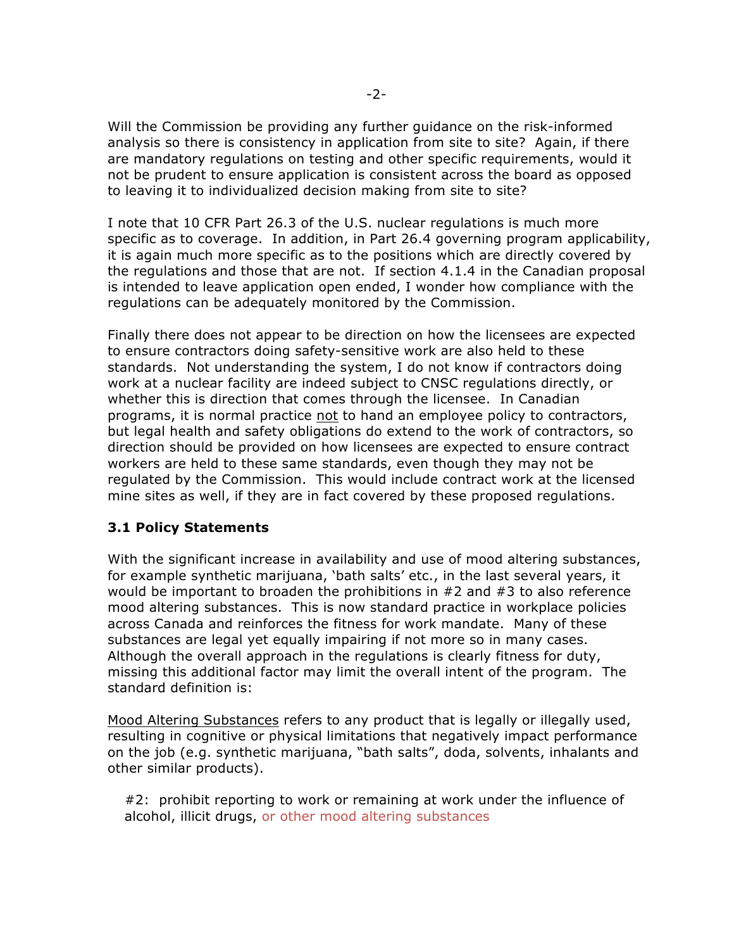Will the Commission be providing any further guidance on the risk-informed analysis so there is consistency in application from site to site? Again, if there are mandatory regulations on testing and other specific requirements, would it not be prudent to ensure application is consistent across the board as opposed to leaving it to individualized decision making from site to site?

I note that 10 CFR Part 26.3 of the U.S. nuclear regulations is much more specific as to coverage. In addition, in Part 26.4 governing program applicability, it is again much more specific as to the positions which are directly covered by the regulations and those that are not. If section 4.1.4 in the Canadian proposal is intended to leave application open ended, I wonder how compliance with the regulations can be adequately monitored by the Commission.

Finally there does not appear to be direction on how the licensees are expected to ensure contractors doing safety-sensitive work are also held to these standards. Not understanding the system, I do not know if contractors doing work at a nuclear facility are indeed subject to CNSC regulations directly, or whether this is direction that comes through the licensee. In Canadian programs, it is normal practice not to hand an employee policy to contractors, but legal health and safety obligations do extend to the work of contractors, so direction should be provided on how licensees are expected to ensure contract workers are held to these same standards, even though they may not be regulated by the Commission. This would include contract work at the licensed mine sites as well, if they are in fact covered by these proposed regulations.

## **3.1 Policy Statements**

With the significant increase in availability and use of mood altering substances, for example synthetic marijuana, 'bath salts' etc., in the last several years, it would be important to broaden the prohibitions in #2 and #3 to also reference mood altering substances. This is now standard practice in workplace policies across Canada and reinforces the fitness for work mandate. Many of these substances are legal yet equally impairing if not more so in many cases. Although the overall approach in the regulations is clearly fitness for duty, missing this additional factor may limit the overall intent of the program. The standard definition is:

Mood Altering Substances refers to any product that is legally or illegally used, resulting in cognitive or physical limitations that negatively impact performance on the job (e.g. synthetic marijuana, "bath salts", doda, solvents, inhalants and other similar products).

#2: prohibit reporting to work or remaining at work under the influence of alcohol, illicit drugs, or other mood altering substances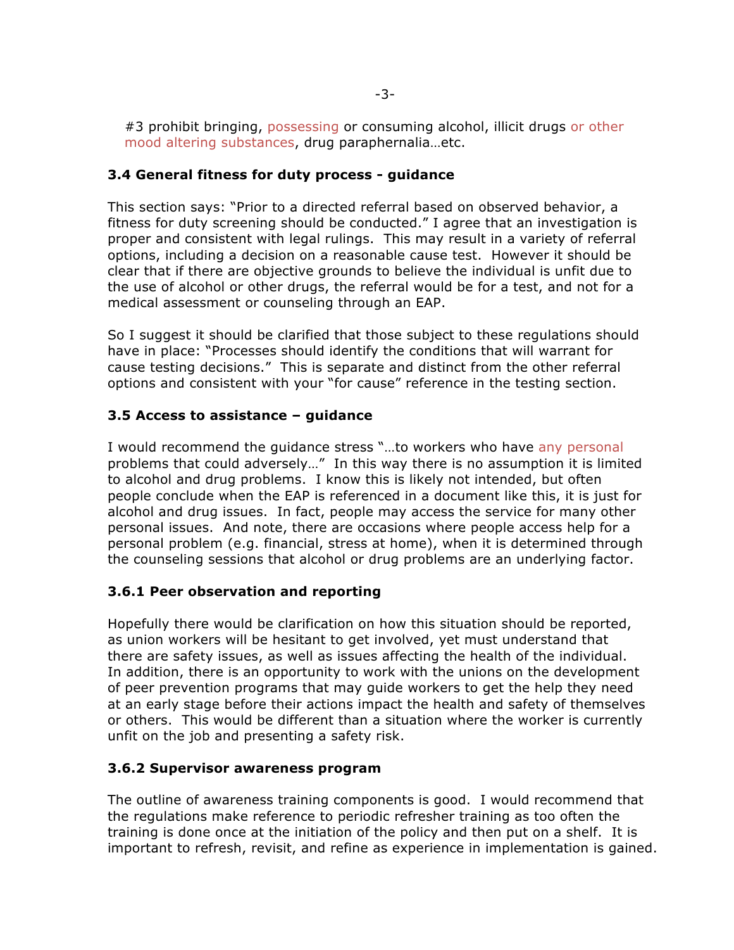#3 prohibit bringing, possessing or consuming alcohol, illicit drugs or other mood altering substances, drug paraphernalia…etc.

## **3.4 General fitness for duty process - guidance**

This section says: "Prior to a directed referral based on observed behavior, a fitness for duty screening should be conducted." I agree that an investigation is proper and consistent with legal rulings. This may result in a variety of referral options, including a decision on a reasonable cause test. However it should be clear that if there are objective grounds to believe the individual is unfit due to the use of alcohol or other drugs, the referral would be for a test, and not for a medical assessment or counseling through an EAP.

So I suggest it should be clarified that those subject to these regulations should have in place: "Processes should identify the conditions that will warrant for cause testing decisions." This is separate and distinct from the other referral options and consistent with your "for cause" reference in the testing section.

## **3.5 Access to assistance – guidance**

I would recommend the guidance stress "...to workers who have any personal problems that could adversely…" In this way there is no assumption it is limited to alcohol and drug problems. I know this is likely not intended, but often people conclude when the EAP is referenced in a document like this, it is just for alcohol and drug issues. In fact, people may access the service for many other personal issues. And note, there are occasions where people access help for a personal problem (e.g. financial, stress at home), when it is determined through the counseling sessions that alcohol or drug problems are an underlying factor.

## **3.6.1 Peer observation and reporting**

Hopefully there would be clarification on how this situation should be reported, as union workers will be hesitant to get involved, yet must understand that there are safety issues, as well as issues affecting the health of the individual. In addition, there is an opportunity to work with the unions on the development of peer prevention programs that may guide workers to get the help they need at an early stage before their actions impact the health and safety of themselves or others. This would be different than a situation where the worker is currently unfit on the job and presenting a safety risk.

## **3.6.2 Supervisor awareness program**

The outline of awareness training components is good. I would recommend that the regulations make reference to periodic refresher training as too often the training is done once at the initiation of the policy and then put on a shelf. It is important to refresh, revisit, and refine as experience in implementation is gained.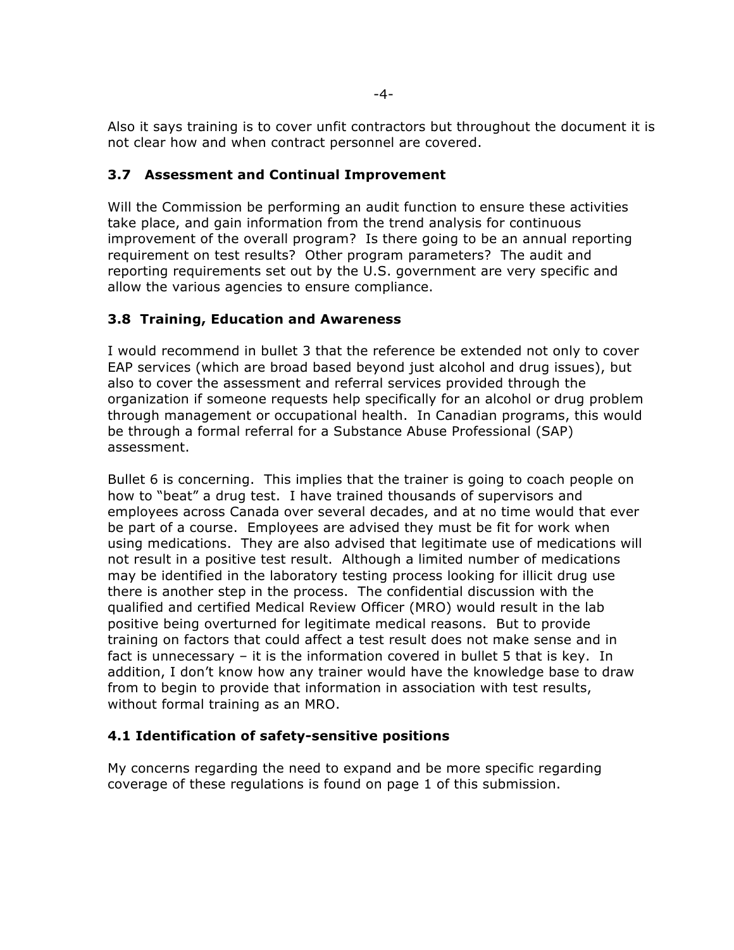Also it says training is to cover unfit contractors but throughout the document it is not clear how and when contract personnel are covered.

# **3.7 Assessment and Continual Improvement**

Will the Commission be performing an audit function to ensure these activities take place, and gain information from the trend analysis for continuous improvement of the overall program? Is there going to be an annual reporting requirement on test results? Other program parameters? The audit and reporting requirements set out by the U.S. government are very specific and allow the various agencies to ensure compliance.

# **3.8 Training, Education and Awareness**

I would recommend in bullet 3 that the reference be extended not only to cover EAP services (which are broad based beyond just alcohol and drug issues), but also to cover the assessment and referral services provided through the organization if someone requests help specifically for an alcohol or drug problem through management or occupational health. In Canadian programs, this would be through a formal referral for a Substance Abuse Professional (SAP) assessment.

Bullet 6 is concerning. This implies that the trainer is going to coach people on how to "beat" a drug test. I have trained thousands of supervisors and employees across Canada over several decades, and at no time would that ever be part of a course. Employees are advised they must be fit for work when using medications. They are also advised that legitimate use of medications will not result in a positive test result. Although a limited number of medications may be identified in the laboratory testing process looking for illicit drug use there is another step in the process. The confidential discussion with the qualified and certified Medical Review Officer (MRO) would result in the lab positive being overturned for legitimate medical reasons. But to provide training on factors that could affect a test result does not make sense and in fact is unnecessary – it is the information covered in bullet 5 that is key. In addition, I don't know how any trainer would have the knowledge base to draw from to begin to provide that information in association with test results, without formal training as an MRO.

# **4.1 Identification of safety-sensitive positions**

My concerns regarding the need to expand and be more specific regarding coverage of these regulations is found on page 1 of this submission.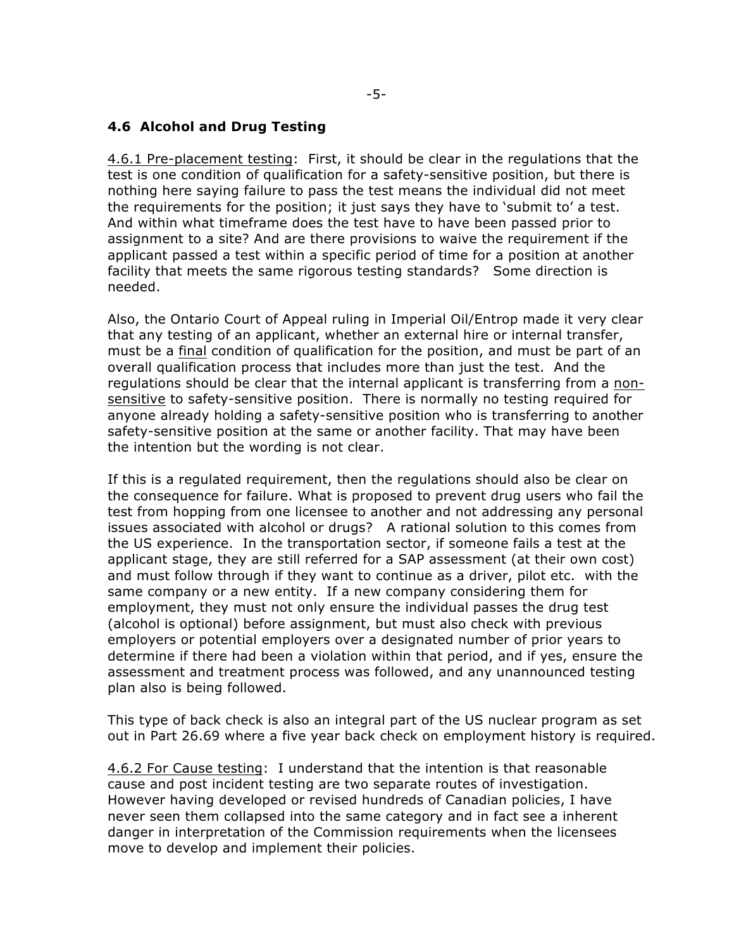#### **4.6 Alcohol and Drug Testing**

4.6.1 Pre-placement testing: First, it should be clear in the regulations that the test is one condition of qualification for a safety-sensitive position, but there is nothing here saying failure to pass the test means the individual did not meet the requirements for the position; it just says they have to 'submit to' a test. And within what timeframe does the test have to have been passed prior to assignment to a site? And are there provisions to waive the requirement if the applicant passed a test within a specific period of time for a position at another facility that meets the same rigorous testing standards? Some direction is needed.

Also, the Ontario Court of Appeal ruling in Imperial Oil/Entrop made it very clear that any testing of an applicant, whether an external hire or internal transfer, must be a final condition of qualification for the position, and must be part of an overall qualification process that includes more than just the test. And the regulations should be clear that the internal applicant is transferring from a nonsensitive to safety-sensitive position. There is normally no testing required for anyone already holding a safety-sensitive position who is transferring to another safety-sensitive position at the same or another facility. That may have been the intention but the wording is not clear.

If this is a regulated requirement, then the regulations should also be clear on the consequence for failure. What is proposed to prevent drug users who fail the test from hopping from one licensee to another and not addressing any personal issues associated with alcohol or drugs? A rational solution to this comes from the US experience. In the transportation sector, if someone fails a test at the applicant stage, they are still referred for a SAP assessment (at their own cost) and must follow through if they want to continue as a driver, pilot etc. with the same company or a new entity. If a new company considering them for employment, they must not only ensure the individual passes the drug test (alcohol is optional) before assignment, but must also check with previous employers or potential employers over a designated number of prior years to determine if there had been a violation within that period, and if yes, ensure the assessment and treatment process was followed, and any unannounced testing plan also is being followed.

This type of back check is also an integral part of the US nuclear program as set out in Part 26.69 where a five year back check on employment history is required.

4.6.2 For Cause testing: I understand that the intention is that reasonable cause and post incident testing are two separate routes of investigation. However having developed or revised hundreds of Canadian policies, I have never seen them collapsed into the same category and in fact see a inherent danger in interpretation of the Commission requirements when the licensees move to develop and implement their policies.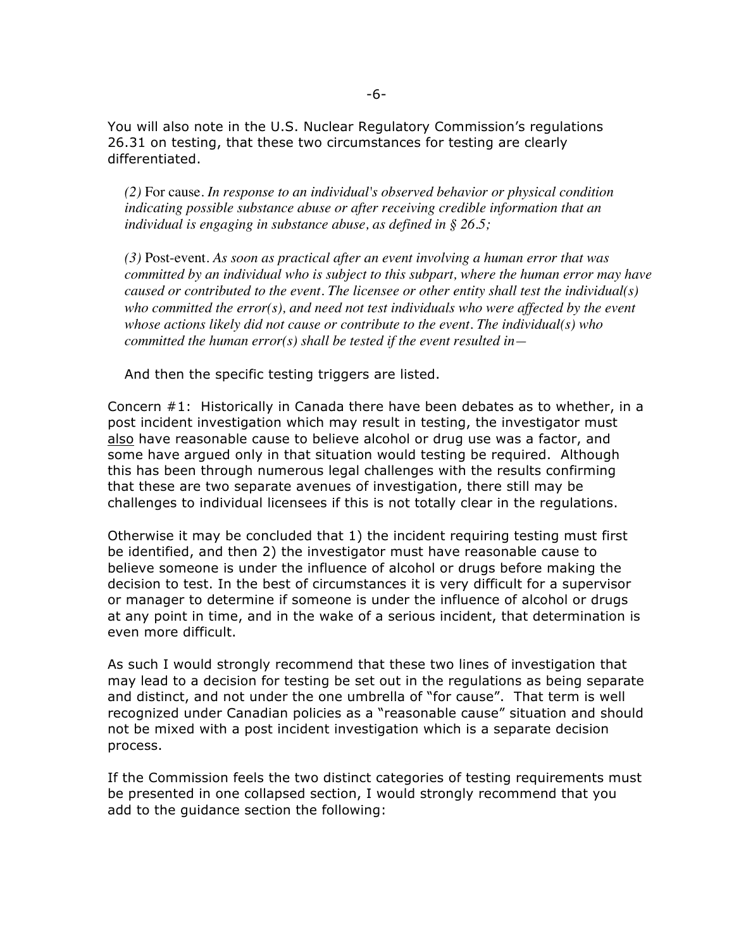You will also note in the U.S. Nuclear Regulatory Commission's regulations 26.31 on testing, that these two circumstances for testing are clearly differentiated.

*(2)* For cause*. In response to an individual's observed behavior or physical condition indicating possible substance abuse or after receiving credible information that an individual is engaging in substance abuse, as defined in § 26.5;*

*(3)* Post-event*. As soon as practical after an event involving a human error that was committed by an individual who is subject to this subpart, where the human error may have caused or contributed to the event. The licensee or other entity shall test the individual(s) who committed the error(s), and need not test individuals who were affected by the event whose actions likely did not cause or contribute to the event. The individual(s) who committed the human error(s) shall be tested if the event resulted in—*

And then the specific testing triggers are listed.

Concern #1: Historically in Canada there have been debates as to whether, in a post incident investigation which may result in testing, the investigator must also have reasonable cause to believe alcohol or drug use was a factor, and some have argued only in that situation would testing be required. Although this has been through numerous legal challenges with the results confirming that these are two separate avenues of investigation, there still may be challenges to individual licensees if this is not totally clear in the regulations.

Otherwise it may be concluded that 1) the incident requiring testing must first be identified, and then 2) the investigator must have reasonable cause to believe someone is under the influence of alcohol or drugs before making the decision to test. In the best of circumstances it is very difficult for a supervisor or manager to determine if someone is under the influence of alcohol or drugs at any point in time, and in the wake of a serious incident, that determination is even more difficult.

As such I would strongly recommend that these two lines of investigation that may lead to a decision for testing be set out in the regulations as being separate and distinct, and not under the one umbrella of "for cause". That term is well recognized under Canadian policies as a "reasonable cause" situation and should not be mixed with a post incident investigation which is a separate decision process.

If the Commission feels the two distinct categories of testing requirements must be presented in one collapsed section, I would strongly recommend that you add to the guidance section the following: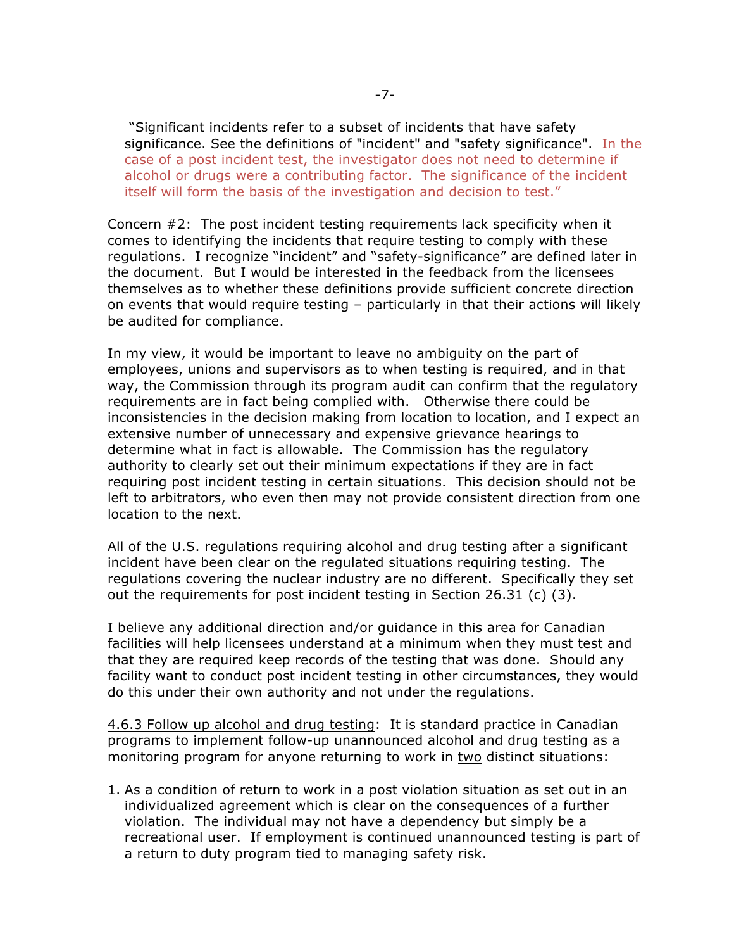"Significant incidents refer to a subset of incidents that have safety significance. See the definitions of "incident" and "safety significance". In the case of a post incident test, the investigator does not need to determine if alcohol or drugs were a contributing factor. The significance of the incident itself will form the basis of the investigation and decision to test."

Concern #2: The post incident testing requirements lack specificity when it comes to identifying the incidents that require testing to comply with these regulations. I recognize "incident" and "safety-significance" are defined later in the document. But I would be interested in the feedback from the licensees themselves as to whether these definitions provide sufficient concrete direction on events that would require testing – particularly in that their actions will likely be audited for compliance.

In my view, it would be important to leave no ambiguity on the part of employees, unions and supervisors as to when testing is required, and in that way, the Commission through its program audit can confirm that the regulatory requirements are in fact being complied with. Otherwise there could be inconsistencies in the decision making from location to location, and I expect an extensive number of unnecessary and expensive grievance hearings to determine what in fact is allowable. The Commission has the regulatory authority to clearly set out their minimum expectations if they are in fact requiring post incident testing in certain situations. This decision should not be left to arbitrators, who even then may not provide consistent direction from one location to the next.

All of the U.S. regulations requiring alcohol and drug testing after a significant incident have been clear on the regulated situations requiring testing. The regulations covering the nuclear industry are no different. Specifically they set out the requirements for post incident testing in Section 26.31 (c)  $(3)$ .

I believe any additional direction and/or guidance in this area for Canadian facilities will help licensees understand at a minimum when they must test and that they are required keep records of the testing that was done. Should any facility want to conduct post incident testing in other circumstances, they would do this under their own authority and not under the regulations.

4.6.3 Follow up alcohol and drug testing: It is standard practice in Canadian programs to implement follow-up unannounced alcohol and drug testing as a monitoring program for anyone returning to work in two distinct situations:

1. As a condition of return to work in a post violation situation as set out in an individualized agreement which is clear on the consequences of a further violation. The individual may not have a dependency but simply be a recreational user. If employment is continued unannounced testing is part of a return to duty program tied to managing safety risk.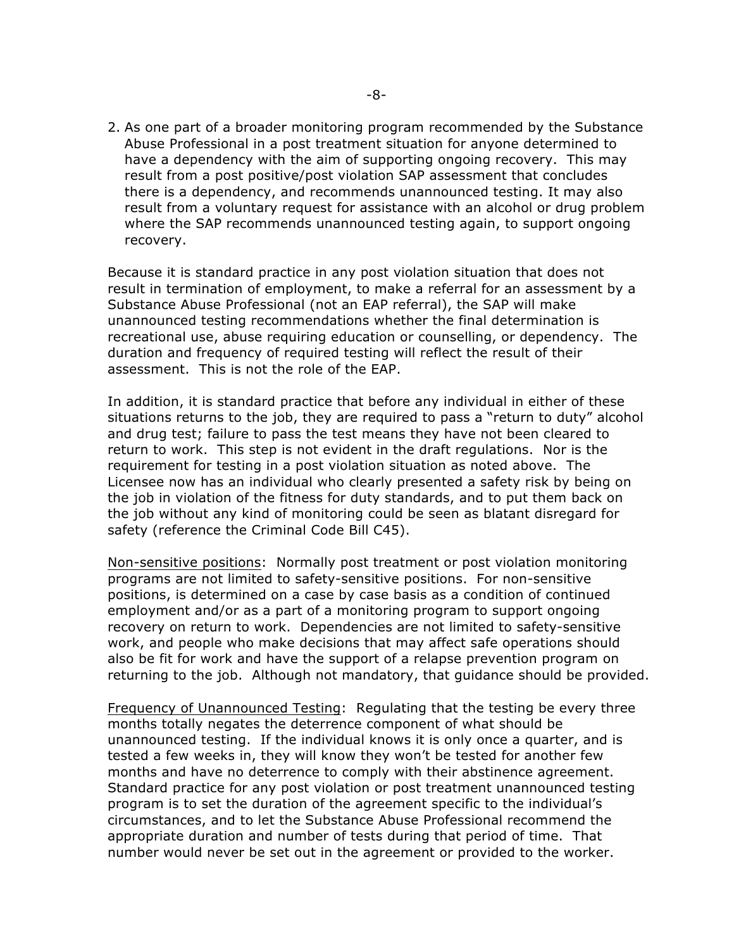2. As one part of a broader monitoring program recommended by the Substance Abuse Professional in a post treatment situation for anyone determined to have a dependency with the aim of supporting ongoing recovery. This may result from a post positive/post violation SAP assessment that concludes there is a dependency, and recommends unannounced testing. It may also result from a voluntary request for assistance with an alcohol or drug problem where the SAP recommends unannounced testing again, to support ongoing recovery.

Because it is standard practice in any post violation situation that does not result in termination of employment, to make a referral for an assessment by a Substance Abuse Professional (not an EAP referral), the SAP will make unannounced testing recommendations whether the final determination is recreational use, abuse requiring education or counselling, or dependency. The duration and frequency of required testing will reflect the result of their assessment. This is not the role of the EAP.

In addition, it is standard practice that before any individual in either of these situations returns to the job, they are required to pass a "return to duty" alcohol and drug test; failure to pass the test means they have not been cleared to return to work. This step is not evident in the draft regulations. Nor is the requirement for testing in a post violation situation as noted above. The Licensee now has an individual who clearly presented a safety risk by being on the job in violation of the fitness for duty standards, and to put them back on the job without any kind of monitoring could be seen as blatant disregard for safety (reference the Criminal Code Bill C45).

Non-sensitive positions: Normally post treatment or post violation monitoring programs are not limited to safety-sensitive positions. For non-sensitive positions, is determined on a case by case basis as a condition of continued employment and/or as a part of a monitoring program to support ongoing recovery on return to work. Dependencies are not limited to safety-sensitive work, and people who make decisions that may affect safe operations should also be fit for work and have the support of a relapse prevention program on returning to the job. Although not mandatory, that guidance should be provided.

Frequency of Unannounced Testing: Regulating that the testing be every three months totally negates the deterrence component of what should be unannounced testing. If the individual knows it is only once a quarter, and is tested a few weeks in, they will know they won't be tested for another few months and have no deterrence to comply with their abstinence agreement. Standard practice for any post violation or post treatment unannounced testing program is to set the duration of the agreement specific to the individual's circumstances, and to let the Substance Abuse Professional recommend the appropriate duration and number of tests during that period of time. That number would never be set out in the agreement or provided to the worker.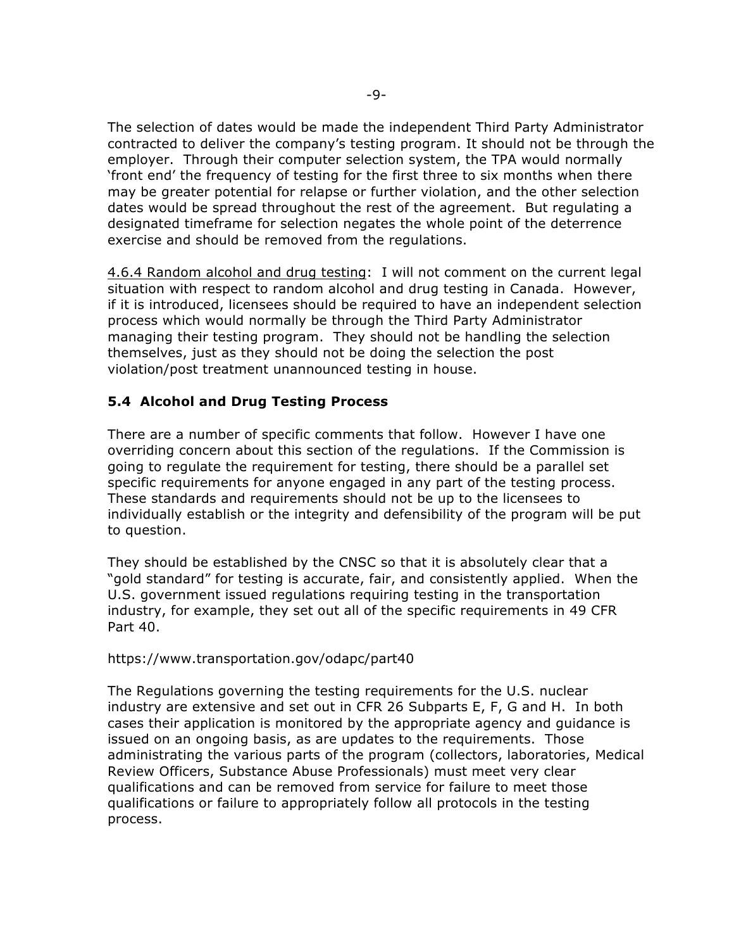The selection of dates would be made the independent Third Party Administrator contracted to deliver the company's testing program. It should not be through the employer. Through their computer selection system, the TPA would normally 'front end' the frequency of testing for the first three to six months when there may be greater potential for relapse or further violation, and the other selection dates would be spread throughout the rest of the agreement. But regulating a designated timeframe for selection negates the whole point of the deterrence exercise and should be removed from the regulations.

4.6.4 Random alcohol and drug testing: I will not comment on the current legal situation with respect to random alcohol and drug testing in Canada. However, if it is introduced, licensees should be required to have an independent selection process which would normally be through the Third Party Administrator managing their testing program. They should not be handling the selection themselves, just as they should not be doing the selection the post violation/post treatment unannounced testing in house.

## **5.4 Alcohol and Drug Testing Process**

There are a number of specific comments that follow. However I have one overriding concern about this section of the regulations. If the Commission is going to regulate the requirement for testing, there should be a parallel set specific requirements for anyone engaged in any part of the testing process. These standards and requirements should not be up to the licensees to individually establish or the integrity and defensibility of the program will be put to question.

They should be established by the CNSC so that it is absolutely clear that a "gold standard" for testing is accurate, fair, and consistently applied. When the U.S. government issued regulations requiring testing in the transportation industry, for example, they set out all of the specific requirements in 49 CFR Part 40.

#### https://www.transportation.gov/odapc/part40

The Regulations governing the testing requirements for the U.S. nuclear industry are extensive and set out in CFR 26 Subparts E, F, G and H. In both cases their application is monitored by the appropriate agency and guidance is issued on an ongoing basis, as are updates to the requirements. Those administrating the various parts of the program (collectors, laboratories, Medical Review Officers, Substance Abuse Professionals) must meet very clear qualifications and can be removed from service for failure to meet those qualifications or failure to appropriately follow all protocols in the testing process.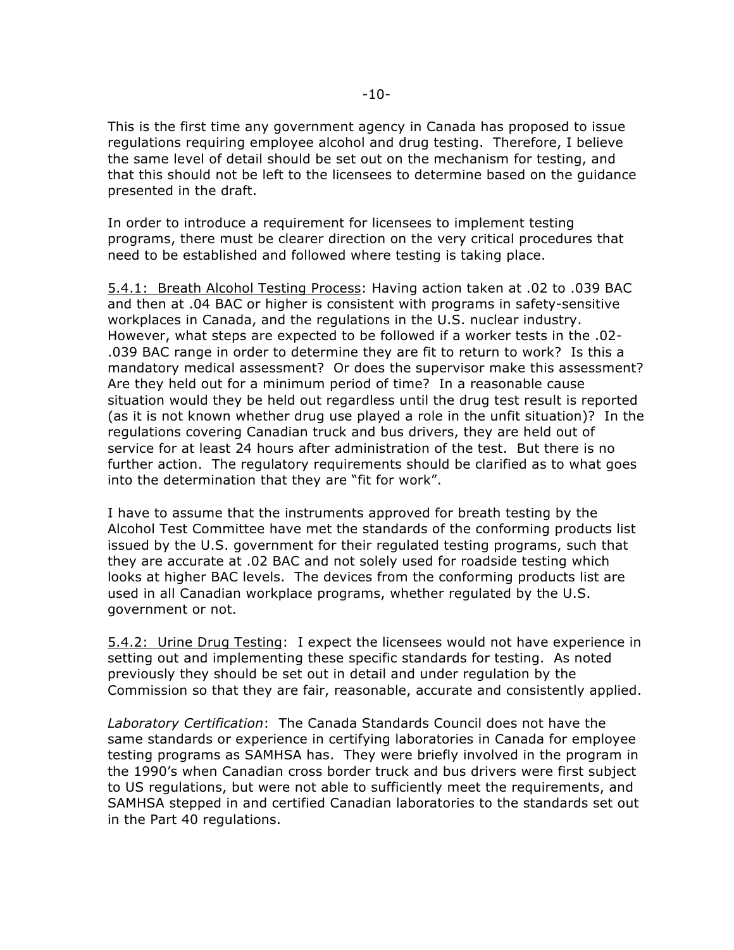This is the first time any government agency in Canada has proposed to issue regulations requiring employee alcohol and drug testing. Therefore, I believe the same level of detail should be set out on the mechanism for testing, and that this should not be left to the licensees to determine based on the guidance presented in the draft.

In order to introduce a requirement for licensees to implement testing programs, there must be clearer direction on the very critical procedures that need to be established and followed where testing is taking place.

5.4.1: Breath Alcohol Testing Process: Having action taken at .02 to .039 BAC and then at .04 BAC or higher is consistent with programs in safety-sensitive workplaces in Canada, and the regulations in the U.S. nuclear industry. However, what steps are expected to be followed if a worker tests in the .02- .039 BAC range in order to determine they are fit to return to work? Is this a mandatory medical assessment? Or does the supervisor make this assessment? Are they held out for a minimum period of time? In a reasonable cause situation would they be held out regardless until the drug test result is reported (as it is not known whether drug use played a role in the unfit situation)? In the regulations covering Canadian truck and bus drivers, they are held out of service for at least 24 hours after administration of the test. But there is no further action. The regulatory requirements should be clarified as to what goes into the determination that they are "fit for work".

I have to assume that the instruments approved for breath testing by the Alcohol Test Committee have met the standards of the conforming products list issued by the U.S. government for their regulated testing programs, such that they are accurate at .02 BAC and not solely used for roadside testing which looks at higher BAC levels. The devices from the conforming products list are used in all Canadian workplace programs, whether regulated by the U.S. government or not.

5.4.2: Urine Drug Testing: I expect the licensees would not have experience in setting out and implementing these specific standards for testing. As noted previously they should be set out in detail and under regulation by the Commission so that they are fair, reasonable, accurate and consistently applied.

*Laboratory Certification*: The Canada Standards Council does not have the same standards or experience in certifying laboratories in Canada for employee testing programs as SAMHSA has. They were briefly involved in the program in the 1990's when Canadian cross border truck and bus drivers were first subject to US regulations, but were not able to sufficiently meet the requirements, and SAMHSA stepped in and certified Canadian laboratories to the standards set out in the Part 40 regulations.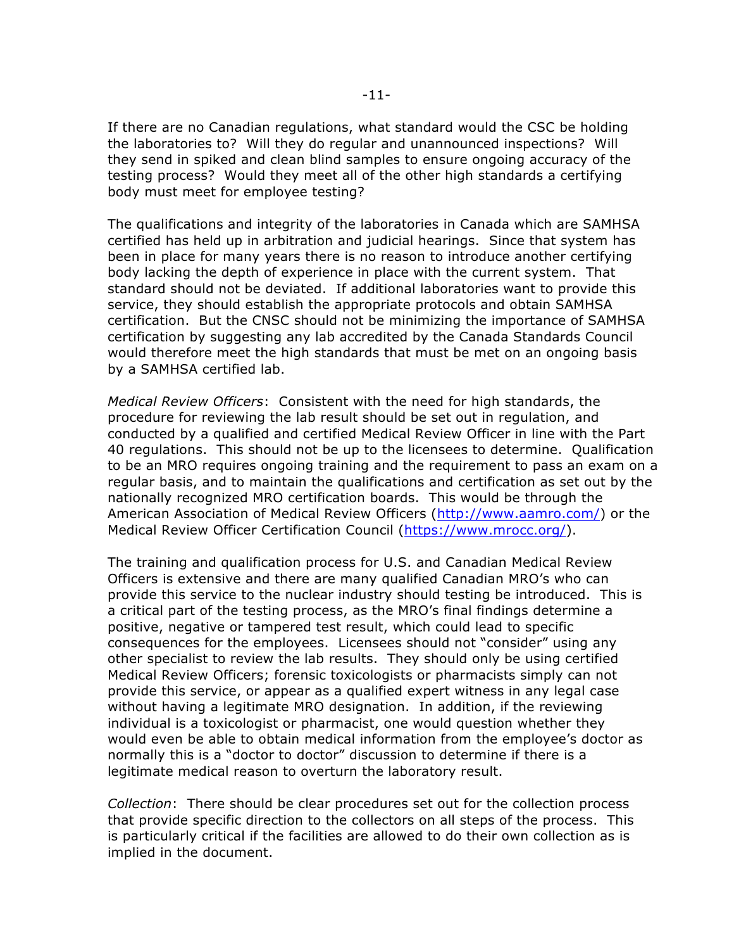If there are no Canadian regulations, what standard would the CSC be holding the laboratories to? Will they do regular and unannounced inspections? Will they send in spiked and clean blind samples to ensure ongoing accuracy of the testing process? Would they meet all of the other high standards a certifying body must meet for employee testing?

The qualifications and integrity of the laboratories in Canada which are SAMHSA certified has held up in arbitration and judicial hearings. Since that system has been in place for many years there is no reason to introduce another certifying body lacking the depth of experience in place with the current system. That standard should not be deviated. If additional laboratories want to provide this service, they should establish the appropriate protocols and obtain SAMHSA certification. But the CNSC should not be minimizing the importance of SAMHSA certification by suggesting any lab accredited by the Canada Standards Council would therefore meet the high standards that must be met on an ongoing basis by a SAMHSA certified lab.

*Medical Review Officers*: Consistent with the need for high standards, the procedure for reviewing the lab result should be set out in regulation, and conducted by a qualified and certified Medical Review Officer in line with the Part 40 regulations. This should not be up to the licensees to determine. Qualification to be an MRO requires ongoing training and the requirement to pass an exam on a regular basis, and to maintain the qualifications and certification as set out by the nationally recognized MRO certification boards. This would be through the American Association of Medical Review Officers (http://www.aamro.com/) or the Medical Review Officer Certification Council (https://www.mrocc.org/).

The training and qualification process for U.S. and Canadian Medical Review Officers is extensive and there are many qualified Canadian MRO's who can provide this service to the nuclear industry should testing be introduced. This is a critical part of the testing process, as the MRO's final findings determine a positive, negative or tampered test result, which could lead to specific consequences for the employees. Licensees should not "consider" using any other specialist to review the lab results. They should only be using certified Medical Review Officers; forensic toxicologists or pharmacists simply can not provide this service, or appear as a qualified expert witness in any legal case without having a legitimate MRO designation. In addition, if the reviewing individual is a toxicologist or pharmacist, one would question whether they would even be able to obtain medical information from the employee's doctor as normally this is a "doctor to doctor" discussion to determine if there is a legitimate medical reason to overturn the laboratory result.

*Collection*: There should be clear procedures set out for the collection process that provide specific direction to the collectors on all steps of the process. This is particularly critical if the facilities are allowed to do their own collection as is implied in the document.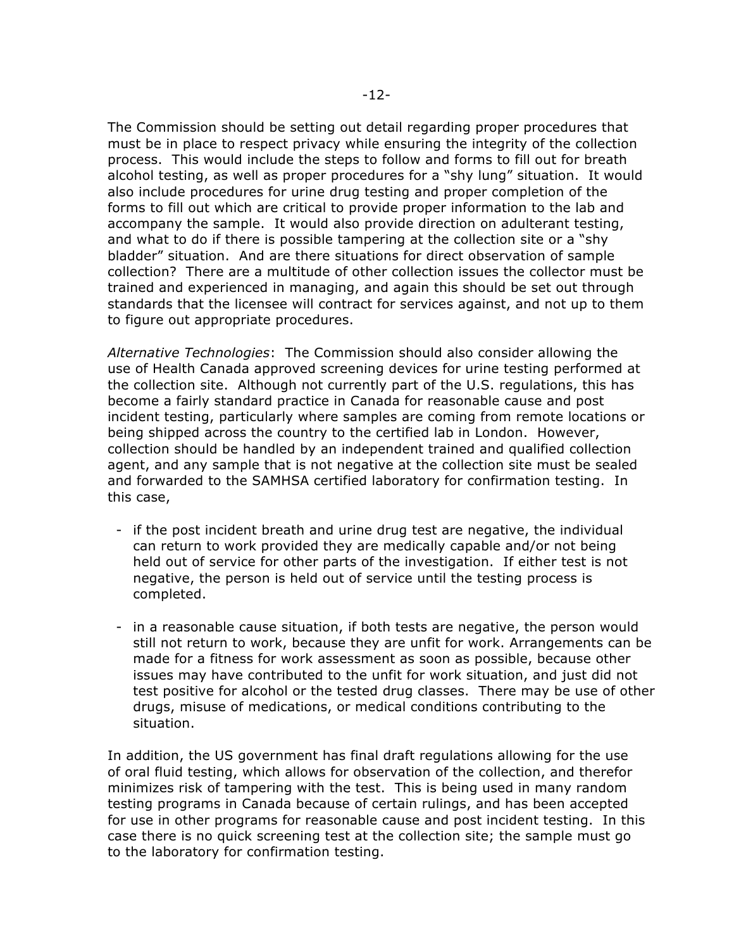The Commission should be setting out detail regarding proper procedures that must be in place to respect privacy while ensuring the integrity of the collection process. This would include the steps to follow and forms to fill out for breath alcohol testing, as well as proper procedures for a "shy lung" situation. It would also include procedures for urine drug testing and proper completion of the forms to fill out which are critical to provide proper information to the lab and accompany the sample. It would also provide direction on adulterant testing, and what to do if there is possible tampering at the collection site or a "shy bladder" situation. And are there situations for direct observation of sample collection? There are a multitude of other collection issues the collector must be trained and experienced in managing, and again this should be set out through standards that the licensee will contract for services against, and not up to them to figure out appropriate procedures.

*Alternative Technologies*: The Commission should also consider allowing the use of Health Canada approved screening devices for urine testing performed at the collection site. Although not currently part of the U.S. regulations, this has become a fairly standard practice in Canada for reasonable cause and post incident testing, particularly where samples are coming from remote locations or being shipped across the country to the certified lab in London. However, collection should be handled by an independent trained and qualified collection agent, and any sample that is not negative at the collection site must be sealed and forwarded to the SAMHSA certified laboratory for confirmation testing. In this case,

- if the post incident breath and urine drug test are negative, the individual can return to work provided they are medically capable and/or not being held out of service for other parts of the investigation. If either test is not negative, the person is held out of service until the testing process is completed.
- in a reasonable cause situation, if both tests are negative, the person would still not return to work, because they are unfit for work. Arrangements can be made for a fitness for work assessment as soon as possible, because other issues may have contributed to the unfit for work situation, and just did not test positive for alcohol or the tested drug classes. There may be use of other drugs, misuse of medications, or medical conditions contributing to the situation.

In addition, the US government has final draft regulations allowing for the use of oral fluid testing, which allows for observation of the collection, and therefor minimizes risk of tampering with the test. This is being used in many random testing programs in Canada because of certain rulings, and has been accepted for use in other programs for reasonable cause and post incident testing. In this case there is no quick screening test at the collection site; the sample must go to the laboratory for confirmation testing.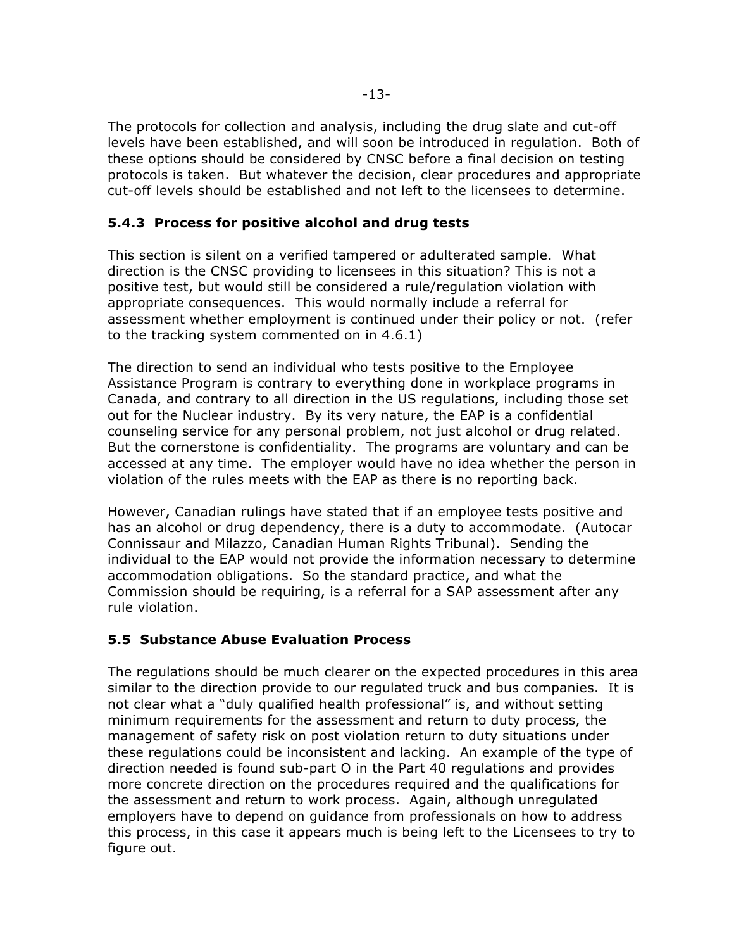The protocols for collection and analysis, including the drug slate and cut-off levels have been established, and will soon be introduced in regulation. Both of these options should be considered by CNSC before a final decision on testing protocols is taken. But whatever the decision, clear procedures and appropriate cut-off levels should be established and not left to the licensees to determine.

### **5.4.3 Process for positive alcohol and drug tests**

This section is silent on a verified tampered or adulterated sample. What direction is the CNSC providing to licensees in this situation? This is not a positive test, but would still be considered a rule/regulation violation with appropriate consequences. This would normally include a referral for assessment whether employment is continued under their policy or not. (refer to the tracking system commented on in 4.6.1)

The direction to send an individual who tests positive to the Employee Assistance Program is contrary to everything done in workplace programs in Canada, and contrary to all direction in the US regulations, including those set out for the Nuclear industry. By its very nature, the EAP is a confidential counseling service for any personal problem, not just alcohol or drug related. But the cornerstone is confidentiality. The programs are voluntary and can be accessed at any time. The employer would have no idea whether the person in violation of the rules meets with the EAP as there is no reporting back.

However, Canadian rulings have stated that if an employee tests positive and has an alcohol or drug dependency, there is a duty to accommodate. (Autocar Connissaur and Milazzo, Canadian Human Rights Tribunal). Sending the individual to the EAP would not provide the information necessary to determine accommodation obligations. So the standard practice, and what the Commission should be requiring, is a referral for a SAP assessment after any rule violation.

## **5.5 Substance Abuse Evaluation Process**

The regulations should be much clearer on the expected procedures in this area similar to the direction provide to our regulated truck and bus companies. It is not clear what a "duly qualified health professional" is, and without setting minimum requirements for the assessment and return to duty process, the management of safety risk on post violation return to duty situations under these regulations could be inconsistent and lacking. An example of the type of direction needed is found sub-part O in the Part 40 regulations and provides more concrete direction on the procedures required and the qualifications for the assessment and return to work process. Again, although unregulated employers have to depend on guidance from professionals on how to address this process, in this case it appears much is being left to the Licensees to try to figure out.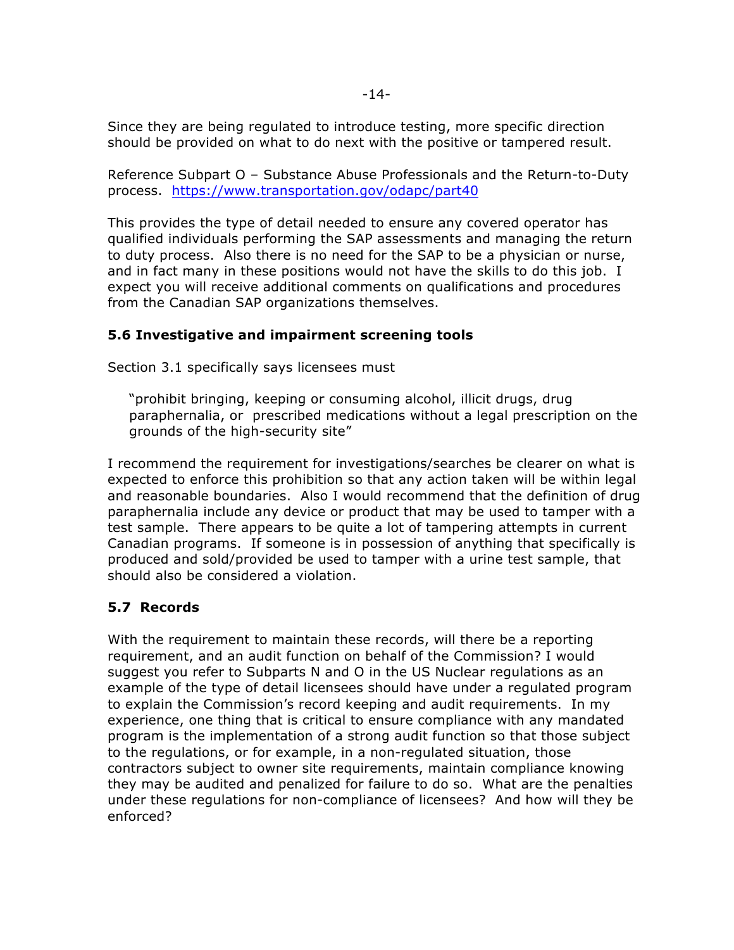Since they are being regulated to introduce testing, more specific direction should be provided on what to do next with the positive or tampered result.

Reference Subpart O – Substance Abuse Professionals and the Return-to-Duty process. https://www.transportation.gov/odapc/part40

This provides the type of detail needed to ensure any covered operator has qualified individuals performing the SAP assessments and managing the return to duty process. Also there is no need for the SAP to be a physician or nurse, and in fact many in these positions would not have the skills to do this job. I expect you will receive additional comments on qualifications and procedures from the Canadian SAP organizations themselves.

## **5.6 Investigative and impairment screening tools**

Section 3.1 specifically says licensees must

"prohibit bringing, keeping or consuming alcohol, illicit drugs, drug paraphernalia, or prescribed medications without a legal prescription on the grounds of the high-security site"

I recommend the requirement for investigations/searches be clearer on what is expected to enforce this prohibition so that any action taken will be within legal and reasonable boundaries. Also I would recommend that the definition of drug paraphernalia include any device or product that may be used to tamper with a test sample. There appears to be quite a lot of tampering attempts in current Canadian programs. If someone is in possession of anything that specifically is produced and sold/provided be used to tamper with a urine test sample, that should also be considered a violation.

## **5.7 Records**

With the requirement to maintain these records, will there be a reporting requirement, and an audit function on behalf of the Commission? I would suggest you refer to Subparts N and O in the US Nuclear regulations as an example of the type of detail licensees should have under a regulated program to explain the Commission's record keeping and audit requirements. In my experience, one thing that is critical to ensure compliance with any mandated program is the implementation of a strong audit function so that those subject to the regulations, or for example, in a non-regulated situation, those contractors subject to owner site requirements, maintain compliance knowing they may be audited and penalized for failure to do so. What are the penalties under these regulations for non-compliance of licensees? And how will they be enforced?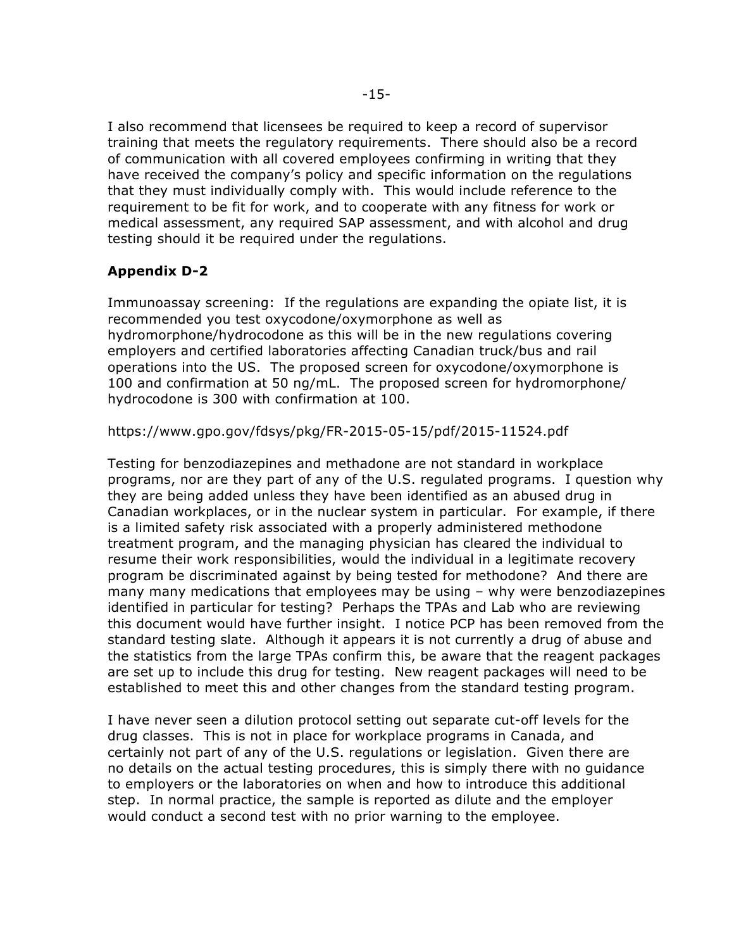I also recommend that licensees be required to keep a record of supervisor training that meets the regulatory requirements. There should also be a record of communication with all covered employees confirming in writing that they have received the company's policy and specific information on the regulations that they must individually comply with. This would include reference to the requirement to be fit for work, and to cooperate with any fitness for work or medical assessment, any required SAP assessment, and with alcohol and drug testing should it be required under the regulations.

# **Appendix D-2**

Immunoassay screening: If the regulations are expanding the opiate list, it is recommended you test oxycodone/oxymorphone as well as hydromorphone/hydrocodone as this will be in the new regulations covering employers and certified laboratories affecting Canadian truck/bus and rail operations into the US. The proposed screen for oxycodone/oxymorphone is 100 and confirmation at 50 ng/mL. The proposed screen for hydromorphone/ hydrocodone is 300 with confirmation at 100.

### https://www.gpo.gov/fdsys/pkg/FR-2015-05-15/pdf/2015-11524.pdf

Testing for benzodiazepines and methadone are not standard in workplace programs, nor are they part of any of the U.S. regulated programs. I question why they are being added unless they have been identified as an abused drug in Canadian workplaces, or in the nuclear system in particular. For example, if there is a limited safety risk associated with a properly administered methodone treatment program, and the managing physician has cleared the individual to resume their work responsibilities, would the individual in a legitimate recovery program be discriminated against by being tested for methodone? And there are many many medications that employees may be using – why were benzodiazepines identified in particular for testing? Perhaps the TPAs and Lab who are reviewing this document would have further insight. I notice PCP has been removed from the standard testing slate. Although it appears it is not currently a drug of abuse and the statistics from the large TPAs confirm this, be aware that the reagent packages are set up to include this drug for testing. New reagent packages will need to be established to meet this and other changes from the standard testing program.

I have never seen a dilution protocol setting out separate cut-off levels for the drug classes. This is not in place for workplace programs in Canada, and certainly not part of any of the U.S. regulations or legislation. Given there are no details on the actual testing procedures, this is simply there with no guidance to employers or the laboratories on when and how to introduce this additional step. In normal practice, the sample is reported as dilute and the employer would conduct a second test with no prior warning to the employee.